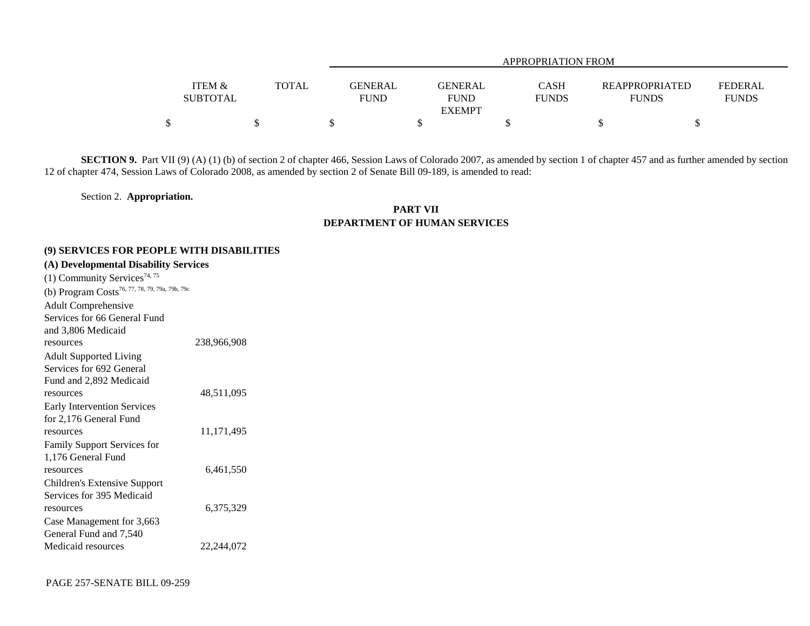|                                      |       |                        | APPROPRIATION FROM            |                             |                                       |                         |  |  |  |  |
|--------------------------------------|-------|------------------------|-------------------------------|-----------------------------|---------------------------------------|-------------------------|--|--|--|--|
| <b>ITEM &amp;</b><br><b>SUBTOTAL</b> | TOTAL | GENERAL<br><b>FUND</b> | <b>GENERAL</b><br><b>FUND</b> | <b>CASH</b><br><b>FUNDS</b> | <b>REAPPROPRIATED</b><br><b>FUNDS</b> | FEDERAL<br><b>FUNDS</b> |  |  |  |  |
|                                      |       |                        | <b>EXEMPT</b>                 |                             |                                       |                         |  |  |  |  |
| \$                                   |       |                        |                               |                             |                                       |                         |  |  |  |  |

**SECTION 9.** Part VII (9) (A) (1) (b) of section 2 of chapter 466, Session Laws of Colorado 2007, as amended by section 1 of chapter 457 and as further amended by section 12 of chapter 474, Session Laws of Colorado 2008, as amended by section 2 of Senate Bill 09-189, is amended to read:

Section 2. **Appropriation.**

## **PART VIIDEPARTMENT OF HUMAN SERVICES**

## **(9) SERVICES FOR PEOPLE WITH DISABILITIES**

## **(A) Developmental Disability Services**

| (1) Community Services <sup>74, 75</sup>                   |              |
|------------------------------------------------------------|--------------|
| (b) Program Costs <sup>76, 77, 78, 79, 79a, 79b, 79c</sup> |              |
| <b>Adult Comprehensive</b>                                 |              |
| Services for 66 General Fund                               |              |
| and 3,806 Medicaid                                         |              |
| resources                                                  | 238,966,908  |
| <b>Adult Supported Living</b>                              |              |
| Services for 692 General                                   |              |
| Fund and 2,892 Medicaid                                    |              |
| resources                                                  | 48,511,095   |
| <b>Early Intervention Services</b>                         |              |
| for 2,176 General Fund                                     |              |
| resources                                                  | 11, 171, 495 |
| <b>Family Support Services for</b>                         |              |
| 1,176 General Fund                                         |              |
| resources                                                  | 6,461,550    |
| Children's Extensive Support                               |              |
| Services for 395 Medicaid                                  |              |
| resources                                                  | 6,375,329    |
| Case Management for 3,663                                  |              |
| General Fund and 7,540                                     |              |
| Medicaid resources                                         | 22,244,072   |